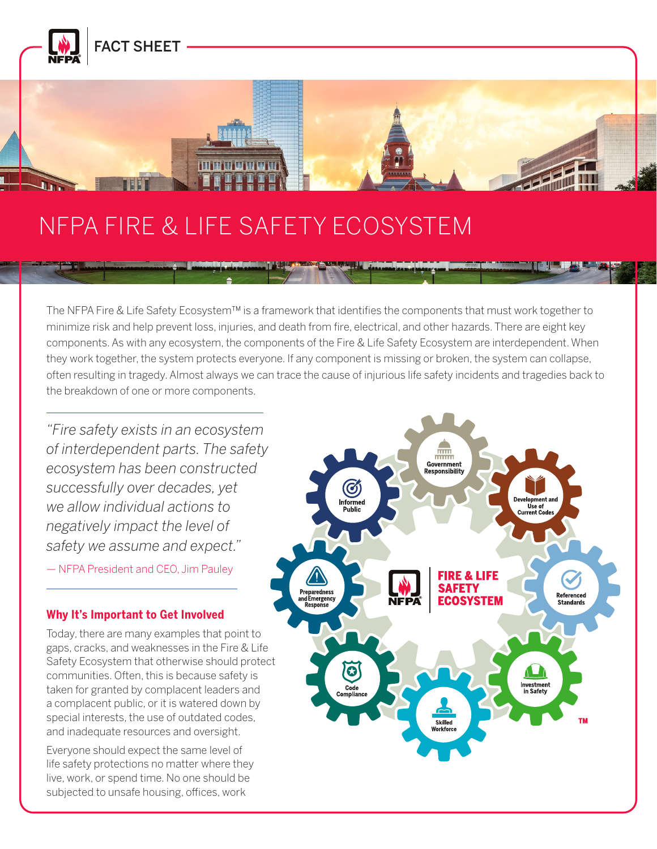

# NFPA FIRE & LIFE SAFETY ECOSYSTEM

**THE REAL PROPERTY** 

The NFPA Fire & Life Safety Ecosystem™ is a framework that identifies the components that must work together to minimize risk and help prevent loss, injuries, and death from fire, electrical, and other hazards. There are eight key components. As with any ecosystem, the components of the Fire & Life Safety Ecosystem are interdependent. When they work together, the system protects everyone. If any component is missing or broken, the system can collapse, often resulting in tragedy. Almost always we can trace the cause of injurious life safety incidents and tragedies back to the breakdown of one or more components.

*"Fire safety exists in an ecosystem of interdependent parts. The [safety](https://www.nfpa.org/About-NFPA/The-NFPA-Fire-and-Life-Safety-Ecosystem)  ecosystem has been constructed successfully over decades, yet we allow individual actions to negatively impact the level of safety we assume and expect."*

— NFPA President and CEO, Jim Pauley

#### **Why It's Important to Get Involved**

Today, there are many examples that point to gaps, cracks, and weaknesses in the Fire & Life Safety Ecosystem that otherwise should protect communities. Often, this is because safety is taken for granted by complacent leaders and a complacent public, or it is watered down by special interests, the use of outdated codes, and inadequate resources and oversight.

Everyone should expect the same level of life safety protections no matter where they live, work, or spend time. No one should be subjected to unsafe housing, offices, work